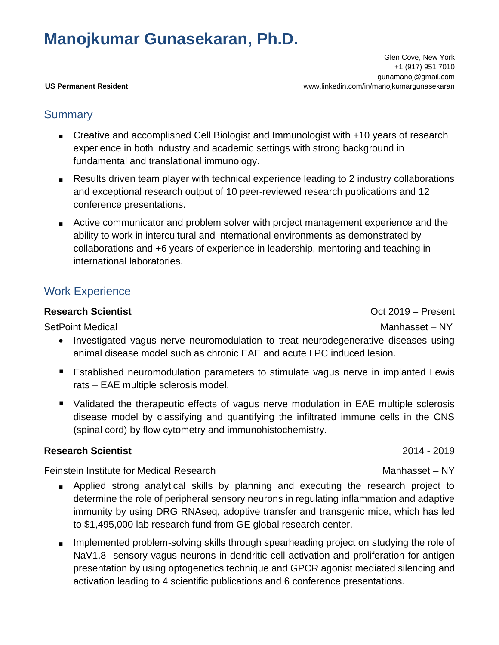# **Manojkumar Gunasekaran, Ph.D.**

 Glen Cove, New York +1 (917) 951 7010 gunamanoj@gmail.com **US Permanent Resident** www.linkedin.com/in/manojkumargunasekaran

## **Summary**

- Creative and accomplished Cell Biologist and Immunologist with +10 years of research experience in both industry and academic settings with strong background in fundamental and translational immunology.
- Results driven team player with technical experience leading to 2 industry collaborations and exceptional research output of 10 peer-reviewed research publications and 12 conference presentations.
- Active communicator and problem solver with project management experience and the ability to work in intercultural and international environments as demonstrated by collaborations and +6 years of experience in leadership, mentoring and teaching in international laboratories.

# Work Experience

### **Research Scientist** Communication Control Communication Control Communication Control Communication Control Communication Control Communication Control Communication Communication Communication Communication Communication

SetPoint Medical and Manhasset – NY

- Investigated vagus nerve neuromodulation to treat neurodegenerative diseases using animal disease model such as chronic EAE and acute LPC induced lesion.
- Established neuromodulation parameters to stimulate vagus nerve in implanted Lewis rats – EAE multiple sclerosis model.
- Validated the therapeutic effects of vagus nerve modulation in EAE multiple sclerosis disease model by classifying and quantifying the infiltrated immune cells in the CNS (spinal cord) by flow cytometry and immunohistochemistry.

### **Research Scientist** 2014 - 2019

Feinstein Institute for Medical Research Manhasset – NY

- Applied strong analytical skills by planning and executing the research project to determine the role of peripheral sensory neurons in regulating inflammation and adaptive immunity by using DRG RNAseq, adoptive transfer and transgenic mice, which has led to \$1,495,000 lab research fund from GE global research center.
- Implemented problem-solving skills through spearheading project on studying the role of NaV1.8<sup>+</sup> sensory vagus neurons in dendritic cell activation and proliferation for antigen presentation by using optogenetics technique and GPCR agonist mediated silencing and activation leading to 4 scientific publications and 6 conference presentations.